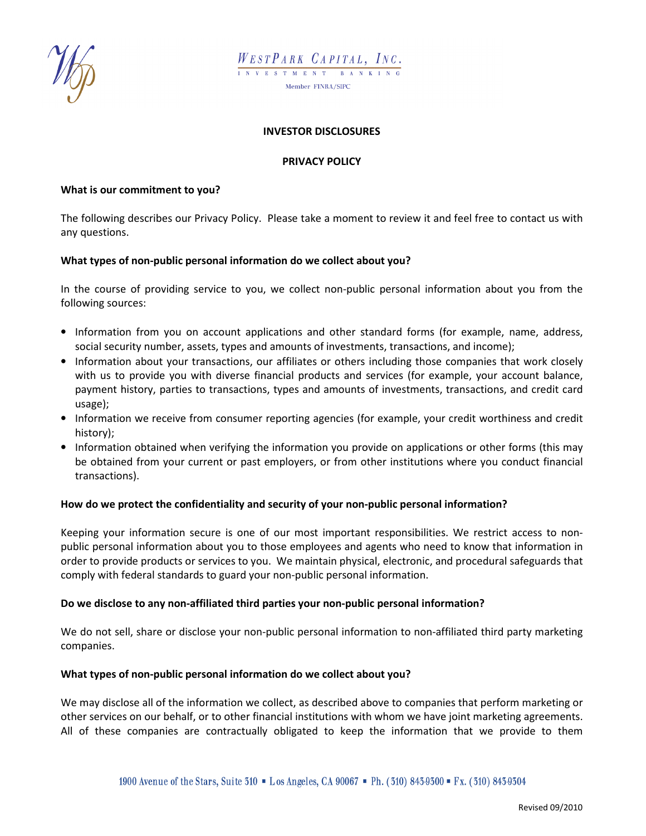



### INVESTOR DISCLOSURES

### PRIVACY POLICY

#### What is our commitment to you?

The following describes our Privacy Policy. Please take a moment to review it and feel free to contact us with any questions.

### What types of non-public personal information do we collect about you?

In the course of providing service to you, we collect non-public personal information about you from the following sources:

- Information from you on account applications and other standard forms (for example, name, address, social security number, assets, types and amounts of investments, transactions, and income);
- Information about your transactions, our affiliates or others including those companies that work closely with us to provide you with diverse financial products and services (for example, your account balance, payment history, parties to transactions, types and amounts of investments, transactions, and credit card usage);
- Information we receive from consumer reporting agencies (for example, your credit worthiness and credit history);
- Information obtained when verifying the information you provide on applications or other forms (this may be obtained from your current or past employers, or from other institutions where you conduct financial transactions).

### How do we protect the confidentiality and security of your non-public personal information?

Keeping your information secure is one of our most important responsibilities. We restrict access to nonpublic personal information about you to those employees and agents who need to know that information in order to provide products or services to you. We maintain physical, electronic, and procedural safeguards that comply with federal standards to guard your non-public personal information.

### Do we disclose to any non-affiliated third parties your non-public personal information?

We do not sell, share or disclose your non-public personal information to non-affiliated third party marketing companies.

### What types of non-public personal information do we collect about you?

We may disclose all of the information we collect, as described above to companies that perform marketing or other services on our behalf, or to other financial institutions with whom we have joint marketing agreements. All of these companies are contractually obligated to keep the information that we provide to them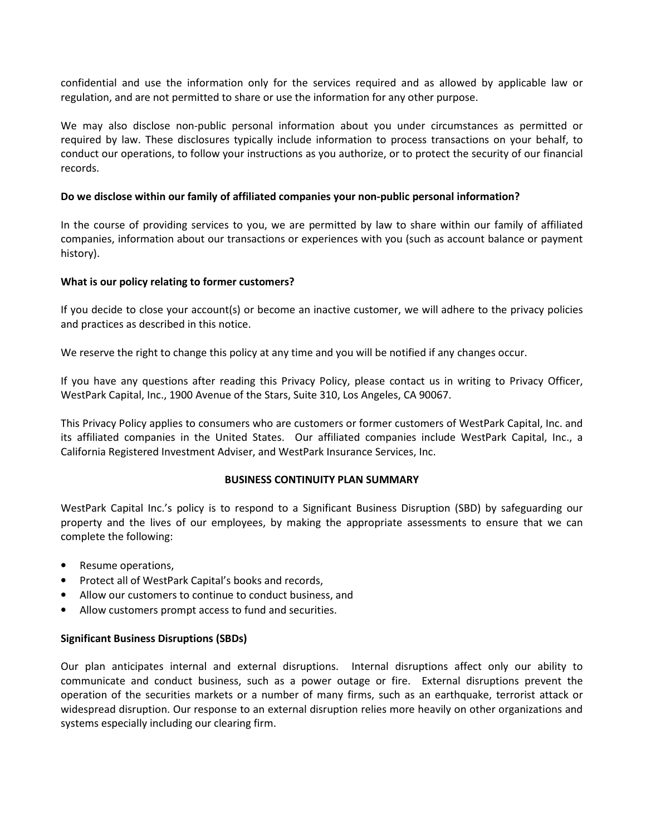confidential and use the information only for the services required and as allowed by applicable law or regulation, and are not permitted to share or use the information for any other purpose.

We may also disclose non-public personal information about you under circumstances as permitted or required by law. These disclosures typically include information to process transactions on your behalf, to conduct our operations, to follow your instructions as you authorize, or to protect the security of our financial records.

## Do we disclose within our family of affiliated companies your non-public personal information?

In the course of providing services to you, we are permitted by law to share within our family of affiliated companies, information about our transactions or experiences with you (such as account balance or payment history).

### What is our policy relating to former customers?

If you decide to close your account(s) or become an inactive customer, we will adhere to the privacy policies and practices as described in this notice.

We reserve the right to change this policy at any time and you will be notified if any changes occur.

If you have any questions after reading this Privacy Policy, please contact us in writing to Privacy Officer, WestPark Capital, Inc., 1900 Avenue of the Stars, Suite 310, Los Angeles, CA 90067.

This Privacy Policy applies to consumers who are customers or former customers of WestPark Capital, Inc. and its affiliated companies in the United States. Our affiliated companies include WestPark Capital, Inc., a California Registered Investment Adviser, and WestPark Insurance Services, Inc.

### BUSINESS CONTINUITY PLAN SUMMARY

WestPark Capital Inc.'s policy is to respond to a Significant Business Disruption (SBD) by safeguarding our property and the lives of our employees, by making the appropriate assessments to ensure that we can complete the following:

- Resume operations,
- Protect all of WestPark Capital's books and records,
- Allow our customers to continue to conduct business, and
- Allow customers prompt access to fund and securities.

## Significant Business Disruptions (SBDs)

Our plan anticipates internal and external disruptions. Internal disruptions affect only our ability to communicate and conduct business, such as a power outage or fire. External disruptions prevent the operation of the securities markets or a number of many firms, such as an earthquake, terrorist attack or widespread disruption. Our response to an external disruption relies more heavily on other organizations and systems especially including our clearing firm.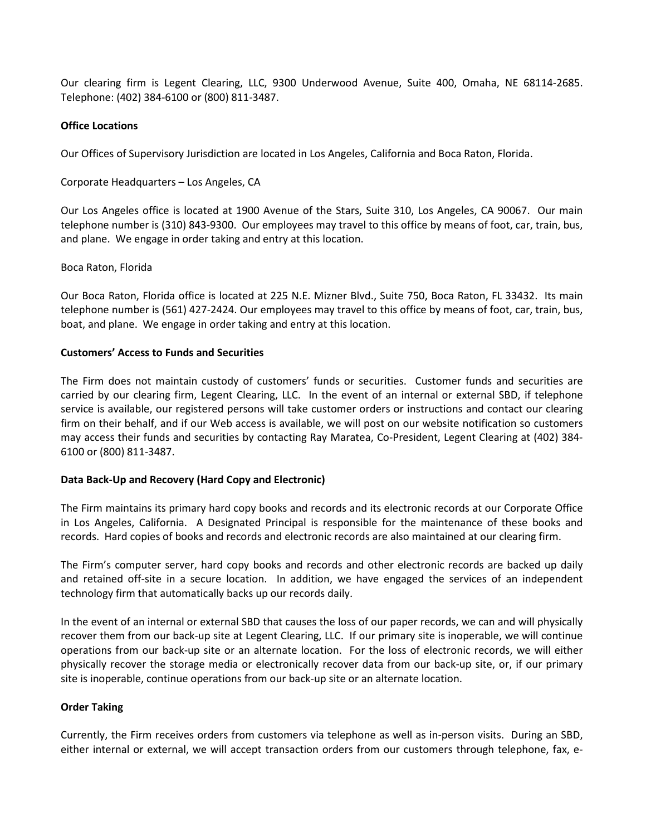Our clearing firm is Legent Clearing, LLC, 9300 Underwood Avenue, Suite 400, Omaha, NE 68114-2685. Telephone: (402) 384-6100 or (800) 811-3487.

### Office Locations

Our Offices of Supervisory Jurisdiction are located in Los Angeles, California and Boca Raton, Florida.

Corporate Headquarters – Los Angeles, CA

Our Los Angeles office is located at 1900 Avenue of the Stars, Suite 310, Los Angeles, CA 90067. Our main telephone number is (310) 843-9300. Our employees may travel to this office by means of foot, car, train, bus, and plane. We engage in order taking and entry at this location.

### Boca Raton, Florida

Our Boca Raton, Florida office is located at 225 N.E. Mizner Blvd., Suite 750, Boca Raton, FL 33432. Its main telephone number is (561) 427-2424. Our employees may travel to this office by means of foot, car, train, bus, boat, and plane. We engage in order taking and entry at this location.

### Customers' Access to Funds and Securities

The Firm does not maintain custody of customers' funds or securities. Customer funds and securities are carried by our clearing firm, Legent Clearing, LLC. In the event of an internal or external SBD, if telephone service is available, our registered persons will take customer orders or instructions and contact our clearing firm on their behalf, and if our Web access is available, we will post on our website notification so customers may access their funds and securities by contacting Ray Maratea, Co-President, Legent Clearing at (402) 384- 6100 or (800) 811-3487.

## Data Back-Up and Recovery (Hard Copy and Electronic)

The Firm maintains its primary hard copy books and records and its electronic records at our Corporate Office in Los Angeles, California. A Designated Principal is responsible for the maintenance of these books and records. Hard copies of books and records and electronic records are also maintained at our clearing firm.

The Firm's computer server, hard copy books and records and other electronic records are backed up daily and retained off-site in a secure location. In addition, we have engaged the services of an independent technology firm that automatically backs up our records daily.

In the event of an internal or external SBD that causes the loss of our paper records, we can and will physically recover them from our back-up site at Legent Clearing, LLC. If our primary site is inoperable, we will continue operations from our back-up site or an alternate location. For the loss of electronic records, we will either physically recover the storage media or electronically recover data from our back-up site, or, if our primary site is inoperable, continue operations from our back-up site or an alternate location.

## Order Taking

Currently, the Firm receives orders from customers via telephone as well as in-person visits. During an SBD, either internal or external, we will accept transaction orders from our customers through telephone, fax, e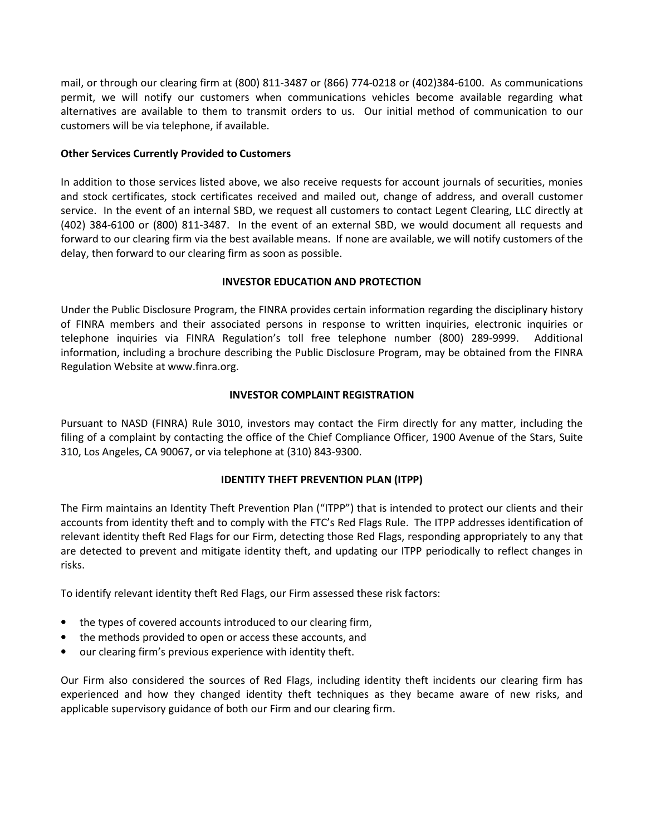mail, or through our clearing firm at (800) 811-3487 or (866) 774-0218 or (402)384-6100. As communications permit, we will notify our customers when communications vehicles become available regarding what alternatives are available to them to transmit orders to us. Our initial method of communication to our customers will be via telephone, if available.

# Other Services Currently Provided to Customers

In addition to those services listed above, we also receive requests for account journals of securities, monies and stock certificates, stock certificates received and mailed out, change of address, and overall customer service. In the event of an internal SBD, we request all customers to contact Legent Clearing, LLC directly at (402) 384-6100 or (800) 811-3487. In the event of an external SBD, we would document all requests and forward to our clearing firm via the best available means. If none are available, we will notify customers of the delay, then forward to our clearing firm as soon as possible.

## INVESTOR EDUCATION AND PROTECTION

Under the Public Disclosure Program, the FINRA provides certain information regarding the disciplinary history of FINRA members and their associated persons in response to written inquiries, electronic inquiries or telephone inquiries via FINRA Regulation's toll free telephone number (800) 289-9999. Additional information, including a brochure describing the Public Disclosure Program, may be obtained from the FINRA Regulation Website at www.finra.org.

## INVESTOR COMPLAINT REGISTRATION

Pursuant to NASD (FINRA) Rule 3010, investors may contact the Firm directly for any matter, including the filing of a complaint by contacting the office of the Chief Compliance Officer, 1900 Avenue of the Stars, Suite 310, Los Angeles, CA 90067, or via telephone at (310) 843-9300.

## IDENTITY THEFT PREVENTION PLAN (ITPP)

The Firm maintains an Identity Theft Prevention Plan ("ITPP") that is intended to protect our clients and their accounts from identity theft and to comply with the FTC's Red Flags Rule. The ITPP addresses identification of relevant identity theft Red Flags for our Firm, detecting those Red Flags, responding appropriately to any that are detected to prevent and mitigate identity theft, and updating our ITPP periodically to reflect changes in risks.

To identify relevant identity theft Red Flags, our Firm assessed these risk factors:

- the types of covered accounts introduced to our clearing firm,
- the methods provided to open or access these accounts, and
- our clearing firm's previous experience with identity theft.

Our Firm also considered the sources of Red Flags, including identity theft incidents our clearing firm has experienced and how they changed identity theft techniques as they became aware of new risks, and applicable supervisory guidance of both our Firm and our clearing firm.